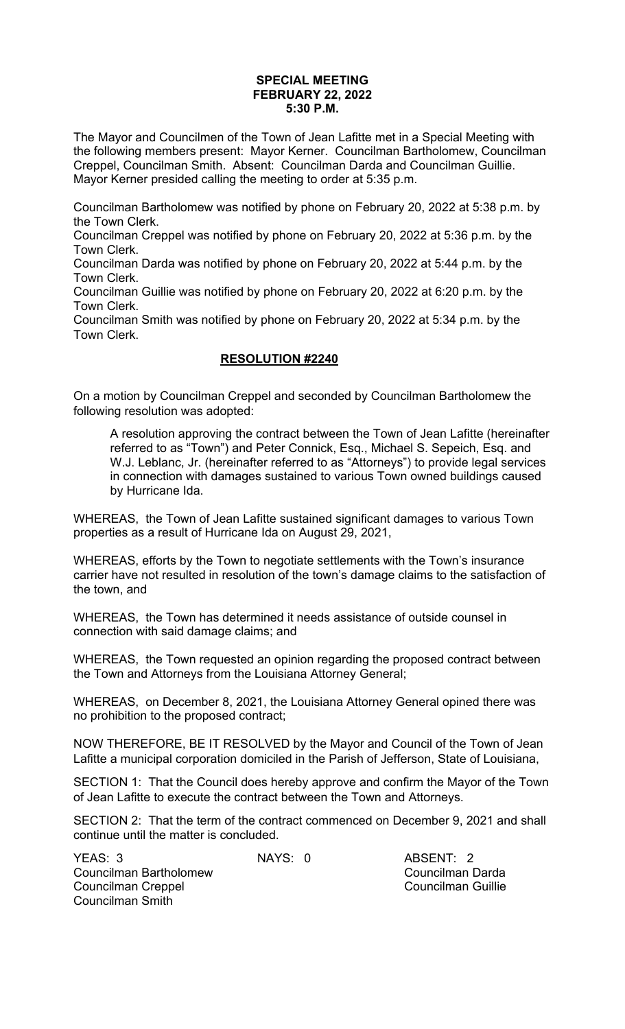## **SPECIAL MEETING FEBRUARY 22, 2022 5:30 P.M.**

The Mayor and Councilmen of the Town of Jean Lafitte met in a Special Meeting with the following members present: Mayor Kerner. Councilman Bartholomew, Councilman Creppel, Councilman Smith. Absent: Councilman Darda and Councilman Guillie. Mayor Kerner presided calling the meeting to order at 5:35 p.m.

Councilman Bartholomew was notified by phone on February 20, 2022 at 5:38 p.m. by the Town Clerk.

Councilman Creppel was notified by phone on February 20, 2022 at 5:36 p.m. by the Town Clerk.

Councilman Darda was notified by phone on February 20, 2022 at 5:44 p.m. by the Town Clerk.

Councilman Guillie was notified by phone on February 20, 2022 at 6:20 p.m. by the Town Clerk.

Councilman Smith was notified by phone on February 20, 2022 at 5:34 p.m. by the Town Clerk.

## **RESOLUTION #2240**

On a motion by Councilman Creppel and seconded by Councilman Bartholomew the following resolution was adopted:

A resolution approving the contract between the Town of Jean Lafitte (hereinafter referred to as "Town") and Peter Connick, Esq., Michael S. Sepeich, Esq. and W.J. Leblanc, Jr. (hereinafter referred to as "Attorneys") to provide legal services in connection with damages sustained to various Town owned buildings caused by Hurricane Ida.

WHEREAS, the Town of Jean Lafitte sustained significant damages to various Town properties as a result of Hurricane Ida on August 29, 2021,

WHEREAS, efforts by the Town to negotiate settlements with the Town's insurance carrier have not resulted in resolution of the town's damage claims to the satisfaction of the town, and

WHEREAS, the Town has determined it needs assistance of outside counsel in connection with said damage claims; and

WHEREAS, the Town requested an opinion regarding the proposed contract between the Town and Attorneys from the Louisiana Attorney General;

WHEREAS, on December 8, 2021, the Louisiana Attorney General opined there was no prohibition to the proposed contract;

NOW THEREFORE, BE IT RESOLVED by the Mayor and Council of the Town of Jean Lafitte a municipal corporation domiciled in the Parish of Jefferson, State of Louisiana,

SECTION 1: That the Council does hereby approve and confirm the Mayor of the Town of Jean Lafitte to execute the contract between the Town and Attorneys.

SECTION 2: That the term of the contract commenced on December 9, 2021 and shall continue until the matter is concluded.

| <b>NAY</b> |  |
|------------|--|
|            |  |
|            |  |

S: 0 ABSENT: 2 Councilman Darda Councilman Guillie